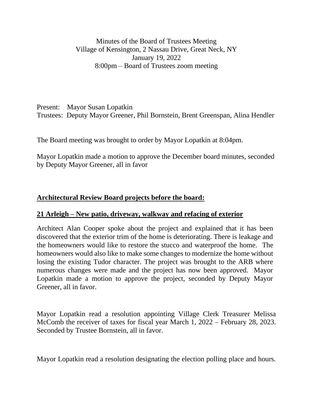Minutes of the Board of Trustees Meeting Village of Kensington, 2 Nassau Drive, Great Neck, NY January 19, 2022 8:00pm – Board of Trustees zoom meeting

Present: Mayor Susan Lopatkin Trustees: Deputy Mayor Greener, Phil Bornstein, Brent Greenspan, Alina Hendler

The Board meeting was brought to order by Mayor Lopatkin at 8:04pm.

Mayor Lopatkin made a motion to approve the December board minutes, seconded by Deputy Mayor Greener, all in favor

## **Architectural Review Board projects before the board:**

## **21 Arleigh – New patio, driveway, walkway and refacing of exterior**

Architect Alan Cooper spoke about the project and explained that it has been discovered that the exterior trim of the home is deteriorating. There is leakage and the homeowners would like to restore the stucco and waterproof the home. The homeowners would also like to make some changes to modernize the home without losing the existing Tudor character. The project was brought to the ARB where numerous changes were made and the project has now been approved. Mayor Lopatkin made a motion to approve the project, seconded by Deputy Mayor Greener, all in favor.

Mayor Lopatkin read a resolution appointing Village Clerk Treasurer Melissa McComb the receiver of taxes for fiscal year March 1, 2022 – February 28, 2023. Seconded by Trustee Bornstein, all in favor.

Mayor Lopatkin read a resolution designating the election polling place and hours.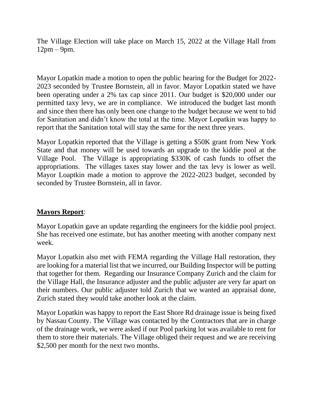The Village Election will take place on March 15, 2022 at the Village Hall from 12pm – 9pm.

Mayor Lopatkin made a motion to open the public hearing for the Budget for 2022- 2023 seconded by Trustee Bornstein, all in favor. Mayor Lopatkin stated we have been operating under a 2% tax cap since 2011. Our budget is \$20,000 under our permitted taxy levy, we are in compliance. We introduced the budget last month and since then there has only been one change to the budget because we went to bid for Sanitation and didn't know the total at the time. Mayor Lopatkin was happy to report that the Sanitation total will stay the same for the next three years.

Mayor Lopatkin reported that the Village is getting a \$50K grant from New York State and that money will be used towards an upgrade to the kiddie pool at the Village Pool. The Village is appropriating \$330K of cash funds to offset the appropriations. The villages taxes stay lower and the tax levy is lower as well. Mayor Loaptkin made a motion to approve the 2022-2023 budget, seconded by seconded by Trustee Bornstein, all in favor.

## **Mayors Report**:

Mayor Lopatkin gave an update regarding the engineers for the kiddie pool project. She has received one estimate, but has another meeting with another company next week.

Mayor Lopatkin also met with FEMA regarding the Village Hall restoration, they are looking for a material list that we incurred, our Building Inspector will be putting that together for them. Regarding our Insurance Company Zurich and the claim for the Village Hall, the Insurance adjuster and the public adjuster are very far apart on their numbers. Our public adjuster told Zurich that we wanted an appraisal done, Zurich stated they would take another look at the claim.

Mayor Lopatkin was happy to report the East Shore Rd drainage issue is being fixed by Nassau County. The Village was contacted by the Contractors that are in charge of the drainage work, we were asked if our Pool parking lot was available to rent for them to store their materials. The Village obliged their request and we are receiving \$2,500 per month for the next two months.